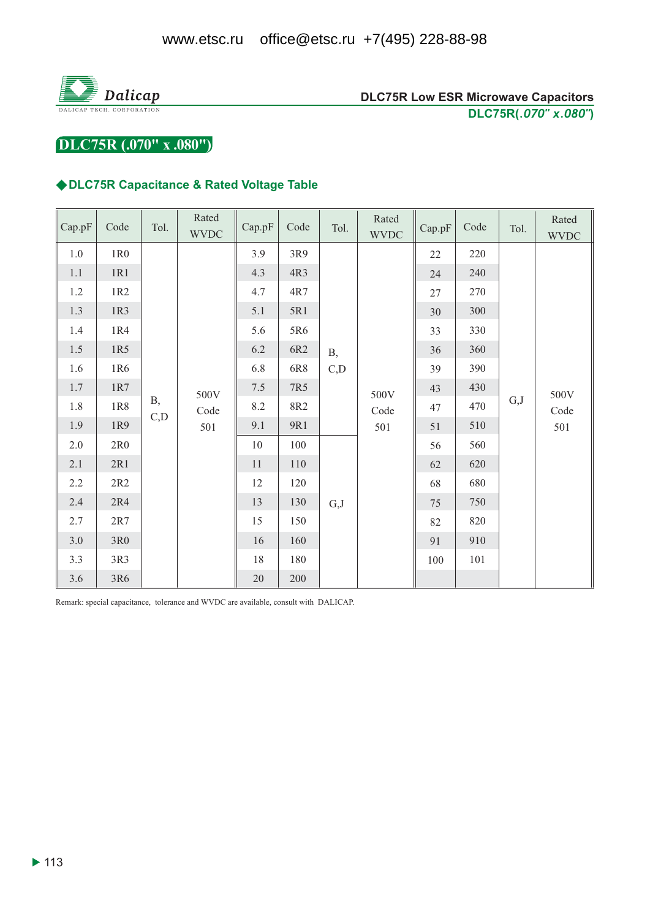

DLC75R (.070" x .080")

### ◆DLC75R Capacitance & Rated Voltage Table

| Cap.pF  | Code            | Tol.       | Rated<br><b>WVDC</b> | Cap.pF | Code    | Tol.       | Rated<br><b>WVDC</b> | Cap.pF | Code | Tol. | Rated<br><b>WVDC</b> |
|---------|-----------------|------------|----------------------|--------|---------|------------|----------------------|--------|------|------|----------------------|
| 1.0     | 1R0             |            |                      | 3.9    | 3R9     |            | 500V<br>Code<br>501  | 22     | 220  | G,J  | 500V<br>Code<br>501  |
| $1.1\,$ | 1R1             |            |                      | 4.3    | 4R3     |            |                      | 24     | 240  |      |                      |
| 1.2     | 1R2             |            |                      | 4.7    | 4R7     |            |                      | 27     | 270  |      |                      |
| 1.3     | 1R3             |            |                      | 5.1    | 5R1     |            |                      | $30\,$ | 300  |      |                      |
| 1.4     | 1R4             |            |                      | 5.6    | 5R6     |            |                      | 33     | 330  |      |                      |
| $1.5\,$ | 1R5             |            |                      | 6.2    | 6R2     | <b>B</b> , |                      | 36     | 360  |      |                      |
| 1.6     | 1R6             |            |                      | 6.8    | 6R8     | C,D        |                      | 39     | 390  |      |                      |
| $1.7\,$ | $1{\rm R}7$     |            | 500V                 | 7.5    | 7R5     |            |                      | 43     | 430  |      |                      |
| 1.8     | $1R8$           | <b>B</b> , | Code                 | 8.2    | 8R2     |            |                      | 47     | 470  |      |                      |
| 1.9     | 1R9             | C,D        | 501                  | 9.1    | 9R1     |            |                      | 51     | 510  |      |                      |
| $2.0\,$ | 2R0             |            |                      | 10     | 100     |            |                      | 56     | 560  |      |                      |
| 2.1     | 2R1             |            |                      | 11     | $110\,$ |            |                      | 62     | 620  |      |                      |
| 2.2     | 2R2             |            |                      | 12     | 120     |            |                      | 68     | 680  |      |                      |
| 2.4     | 2R4             |            |                      | 13     | 130     | G, J       |                      | 75     | 750  |      |                      |
| 2.7     | $2R7$           |            |                      | 15     | 150     |            |                      | 82     | 820  |      |                      |
| $3.0\,$ | 3R <sub>0</sub> |            |                      | 16     | 160     |            |                      | 91     | 910  |      |                      |
| 3.3     | 3R3             |            |                      | 18     | $180\,$ |            |                      | 100    | 101  |      |                      |
| 3.6     | 3R6             |            |                      | $20\,$ | 200     |            |                      |        |      |      |                      |

Remark: special capacitance, tolerance and WVDC are available, consult with DALICAP.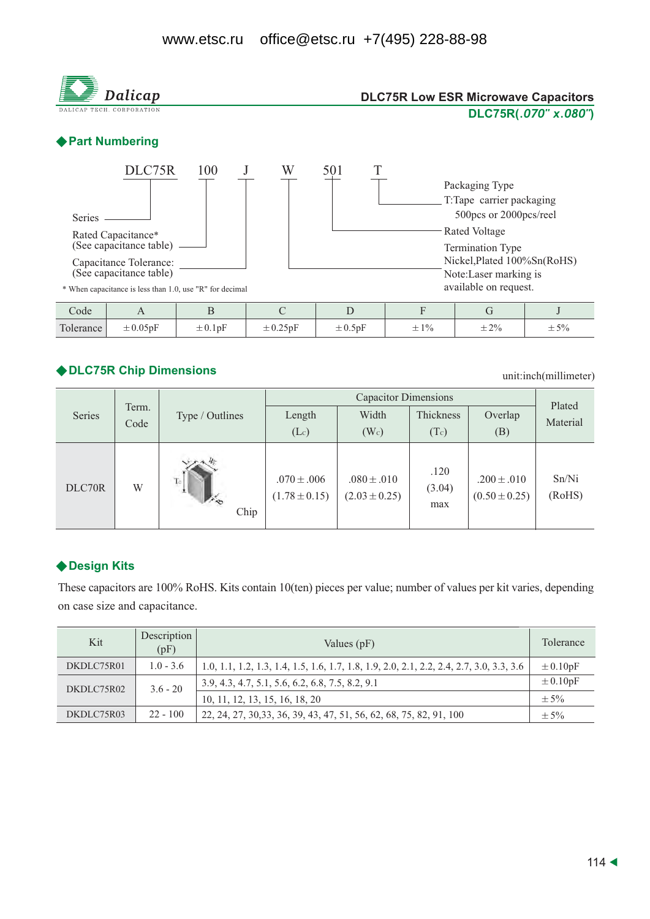

## ◆ DLC75R Chip Dimensions

unit:inch(millimeter)

|        |       |                 |                                      | Plated                               |                       |                                      |                 |
|--------|-------|-----------------|--------------------------------------|--------------------------------------|-----------------------|--------------------------------------|-----------------|
| Series | Term. | Type / Outlines | Length                               | Width                                | Thickness             | Overlap                              | Material        |
|        | Code  |                 | (Lc)                                 | $(W_c)$                              | (Tc)                  | (B)                                  |                 |
| DLC70R | W     | To<br>Chip      | $.070 \pm .006$<br>$(1.78 \pm 0.15)$ | $.080 \pm .010$<br>$(2.03 \pm 0.25)$ | .120<br>(3.04)<br>max | $.200 \pm .010$<br>$(0.50 \pm 0.25)$ | Sn/Ni<br>(RoHS) |

## ◆ Design Kits

These capacitors are 100% RoHS. Kits contain 10(ten) pieces per value; number of values per kit varies, depending on case size and capacitance.

| Kit        | Description<br>(pF) | Values $(pF)$                                                                            | Tolerance                |
|------------|---------------------|------------------------------------------------------------------------------------------|--------------------------|
| DKDLC75R01 | $1.0 - 3.6$         | 1.0, 1.1, 1.2, 1.3, 1.4, 1.5, 1.6, 1.7, 1.8, 1.9, 2.0, 2.1, 2.2, 2.4, 2.7, 3.0, 3.3, 3.6 | $\pm 0.10pF$             |
| DKDLC75R02 | $3.6 - 20$          | 3.9, 4.3, 4.7, 5.1, 5.6, 6.2, 6.8, 7.5, 8.2, 9.1                                         | $\pm 0.10$ <sub>pF</sub> |
|            |                     | 10, 11, 12, 13, 15, 16, 18, 20                                                           | $+5%$                    |
| DKDLC75R03 | $22 - 100$          | 22, 24, 27, 30, 33, 36, 39, 43, 47, 51, 56, 62, 68, 75, 82, 91, 100                      | $\pm$ 5%                 |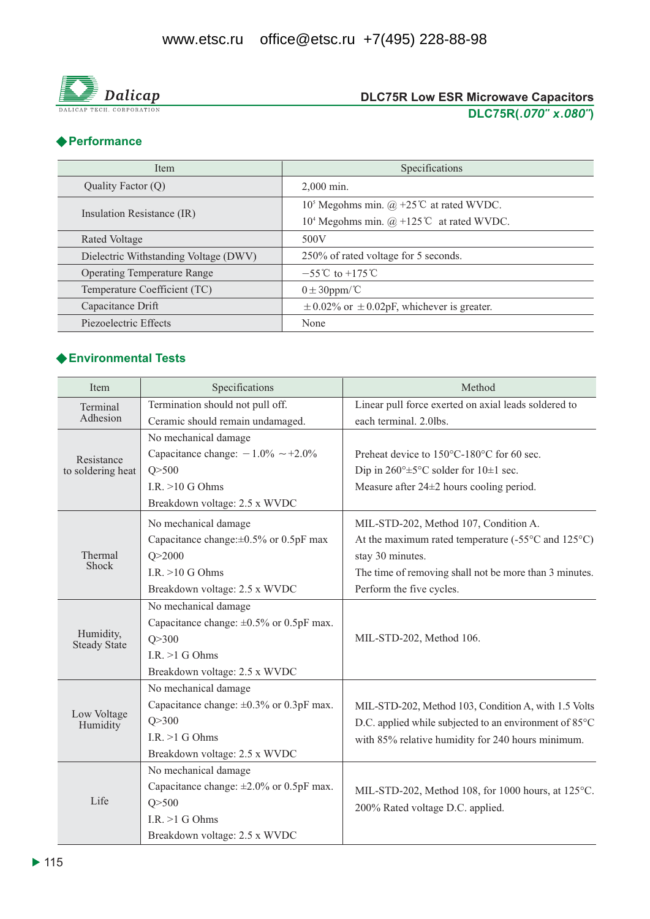

## ◆ Performance

| <b>Item</b>                           | Specifications                                                                     |  |  |  |  |
|---------------------------------------|------------------------------------------------------------------------------------|--|--|--|--|
| Quality Factor $(Q)$                  | $2.000$ min.                                                                       |  |  |  |  |
|                                       | 10 <sup>5</sup> Megohms min. @ +25 <sup>°</sup> C at rated WVDC.                   |  |  |  |  |
| Insulation Resistance (IR)            | 10 <sup>4</sup> Megohms min. $(\hat{\omega}) + 125^{\circ}\text{C}$ at rated WVDC. |  |  |  |  |
| Rated Voltage                         | 500V                                                                               |  |  |  |  |
| Dielectric Withstanding Voltage (DWV) | 250% of rated voltage for 5 seconds.                                               |  |  |  |  |
| <b>Operating Temperature Range</b>    | $-55^{\circ}$ C to +175 °C                                                         |  |  |  |  |
| Temperature Coefficient (TC)          | $0 \pm 30$ ppm/°C                                                                  |  |  |  |  |
| Capacitance Drift                     | $\pm$ 0.02% or $\pm$ 0.02pF, whichever is greater.                                 |  |  |  |  |
| Piezoelectric Effects                 | None                                                                               |  |  |  |  |

## ◆ Environmental Tests

| Item                                                                                                                                                                                                                                                                                                                                                    | Specifications                                | Method                                                                 |  |  |  |  |
|---------------------------------------------------------------------------------------------------------------------------------------------------------------------------------------------------------------------------------------------------------------------------------------------------------------------------------------------------------|-----------------------------------------------|------------------------------------------------------------------------|--|--|--|--|
| Terminal                                                                                                                                                                                                                                                                                                                                                | Termination should not pull off.              | Linear pull force exerted on axial leads soldered to                   |  |  |  |  |
| Adhesion                                                                                                                                                                                                                                                                                                                                                | Ceramic should remain undamaged.              | each terminal. 2.0lbs.                                                 |  |  |  |  |
|                                                                                                                                                                                                                                                                                                                                                         | No mechanical damage                          |                                                                        |  |  |  |  |
| Resistance                                                                                                                                                                                                                                                                                                                                              | Capacitance change: $-1.0\% \sim +2.0\%$      | Preheat device to 150°C-180°C for 60 sec.                              |  |  |  |  |
| to soldering heat                                                                                                                                                                                                                                                                                                                                       | Q > 500                                       | Dip in $260^{\circ} \pm 5^{\circ}$ C solder for $10 \pm 1$ sec.        |  |  |  |  |
|                                                                                                                                                                                                                                                                                                                                                         | I.R. $>10$ G Ohms                             | Measure after $24\pm 2$ hours cooling period.                          |  |  |  |  |
|                                                                                                                                                                                                                                                                                                                                                         | Breakdown voltage: 2.5 x WVDC                 |                                                                        |  |  |  |  |
|                                                                                                                                                                                                                                                                                                                                                         | No mechanical damage                          | MIL-STD-202, Method 107, Condition A.                                  |  |  |  |  |
|                                                                                                                                                                                                                                                                                                                                                         | Capacitance change: $\pm 0.5\%$ or 0.5pF max  | At the maximum rated temperature $(-55^{\circ}$ C and $125^{\circ}$ C) |  |  |  |  |
| Thermal<br>Q > 2000<br>Shock<br>I.R. $>10$ G Ohms<br>Breakdown voltage: 2.5 x WVDC<br>No mechanical damage<br>Capacitance change: $\pm 0.5\%$ or 0.5pF max.<br>Humidity,<br>Q > 300<br><b>Steady State</b><br>I.R. $>1$ G Ohms<br>Breakdown voltage: 2.5 x WVDC<br>No mechanical damage<br>Capacitance change: $\pm 0.3\%$ or 0.3pF max.<br>Low Voltage |                                               | stay 30 minutes.                                                       |  |  |  |  |
|                                                                                                                                                                                                                                                                                                                                                         |                                               | The time of removing shall not be more than 3 minutes.                 |  |  |  |  |
|                                                                                                                                                                                                                                                                                                                                                         | Perform the five cycles.                      |                                                                        |  |  |  |  |
|                                                                                                                                                                                                                                                                                                                                                         |                                               |                                                                        |  |  |  |  |
|                                                                                                                                                                                                                                                                                                                                                         |                                               | MIL-STD-202, Method 106.                                               |  |  |  |  |
|                                                                                                                                                                                                                                                                                                                                                         |                                               |                                                                        |  |  |  |  |
|                                                                                                                                                                                                                                                                                                                                                         |                                               |                                                                        |  |  |  |  |
|                                                                                                                                                                                                                                                                                                                                                         |                                               |                                                                        |  |  |  |  |
|                                                                                                                                                                                                                                                                                                                                                         |                                               |                                                                        |  |  |  |  |
|                                                                                                                                                                                                                                                                                                                                                         |                                               | MIL-STD-202, Method 103, Condition A, with 1.5 Volts                   |  |  |  |  |
| Humidity                                                                                                                                                                                                                                                                                                                                                | Q > 300                                       | D.C. applied while subjected to an environment of 85°C                 |  |  |  |  |
|                                                                                                                                                                                                                                                                                                                                                         | I.R. $>1$ G Ohms                              | with 85% relative humidity for 240 hours minimum.                      |  |  |  |  |
|                                                                                                                                                                                                                                                                                                                                                         | Breakdown voltage: 2.5 x WVDC                 |                                                                        |  |  |  |  |
|                                                                                                                                                                                                                                                                                                                                                         | No mechanical damage                          |                                                                        |  |  |  |  |
|                                                                                                                                                                                                                                                                                                                                                         | Capacitance change: $\pm 2.0\%$ or 0.5pF max. | MIL-STD-202, Method 108, for 1000 hours, at 125°C.                     |  |  |  |  |
| Life                                                                                                                                                                                                                                                                                                                                                    | Q > 500                                       | 200% Rated voltage D.C. applied.                                       |  |  |  |  |
|                                                                                                                                                                                                                                                                                                                                                         | I.R. $>1$ G Ohms                              |                                                                        |  |  |  |  |
|                                                                                                                                                                                                                                                                                                                                                         | Breakdown voltage: 2.5 x WVDC                 |                                                                        |  |  |  |  |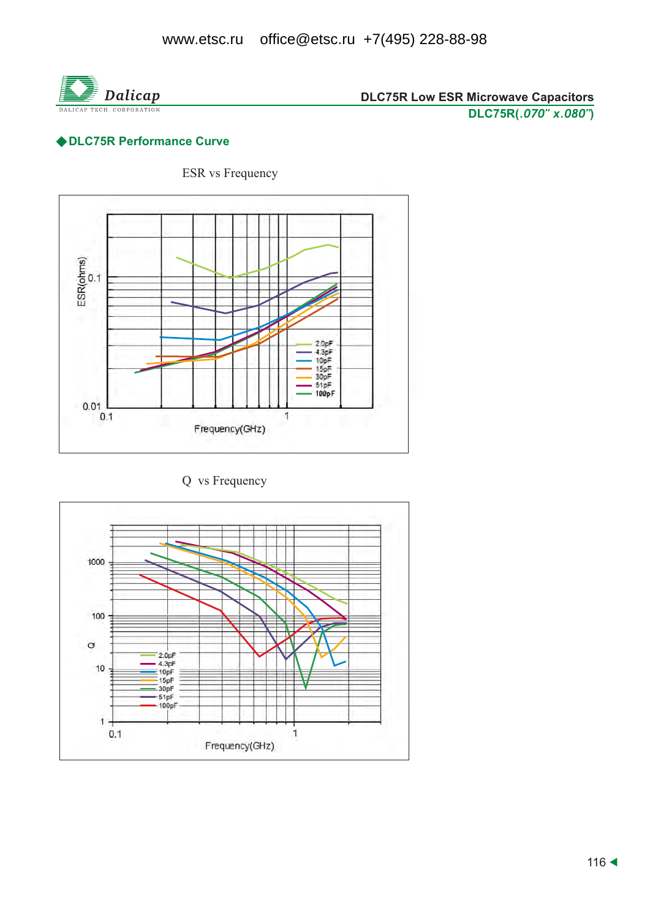

# ◆ DLC75R Performance Curve

**ESR** vs Frequency



Q vs Frequency

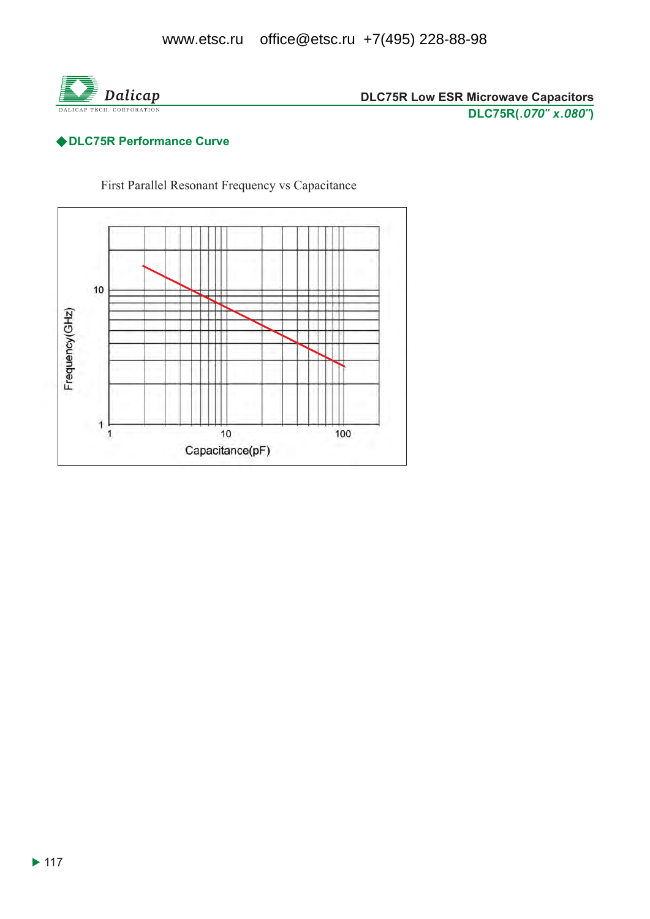

# ◆ DLC75R Performance Curve

First Parallel Resonant Frequency vs Capacitance